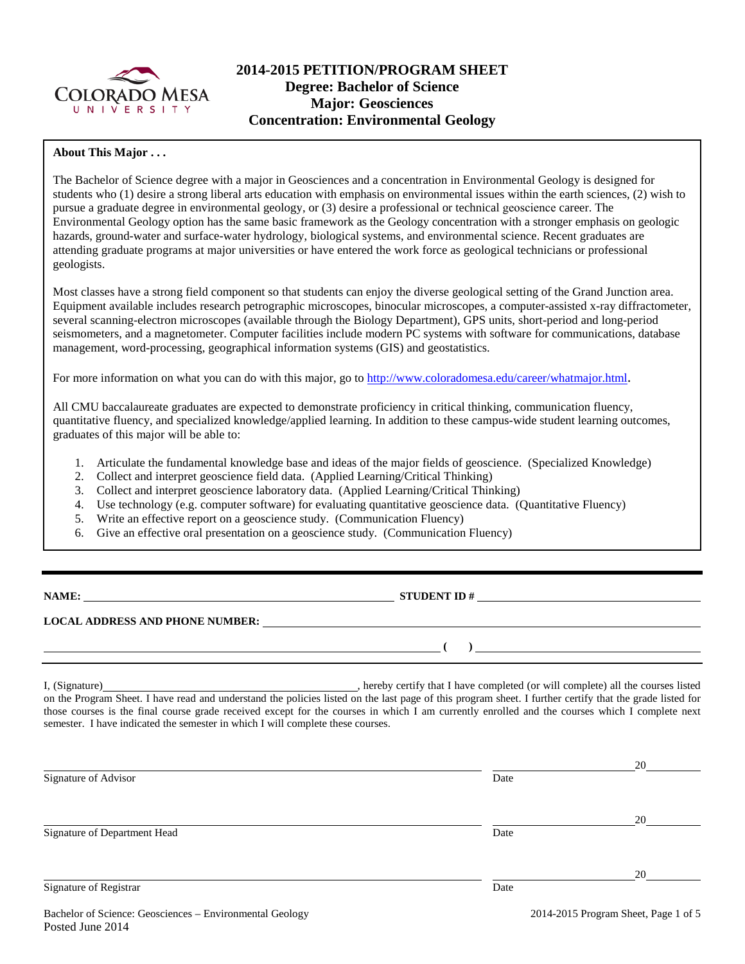

# **2014-2015 PETITION/PROGRAM SHEET Degree: Bachelor of Science Major: Geosciences Concentration: Environmental Geology**

### **About This Major . . .**

The Bachelor of Science degree with a major in Geosciences and a concentration in Environmental Geology is designed for students who (1) desire a strong liberal arts education with emphasis on environmental issues within the earth sciences, (2) wish to pursue a graduate degree in environmental geology, or (3) desire a professional or technical geoscience career. The Environmental Geology option has the same basic framework as the Geology concentration with a stronger emphasis on geologic hazards, ground-water and surface-water hydrology, biological systems, and environmental science. Recent graduates are attending graduate programs at major universities or have entered the work force as geological technicians or professional geologists.

Most classes have a strong field component so that students can enjoy the diverse geological setting of the Grand Junction area. Equipment available includes research petrographic microscopes, binocular microscopes, a computer-assisted x-ray diffractometer, several scanning-electron microscopes (available through the Biology Department), GPS units, short-period and long-period seismometers, and a magnetometer. Computer facilities include modern PC systems with software for communications, database management, word-processing, geographical information systems (GIS) and geostatistics.

For more information on what you can do with this major, go to [http://www.coloradomesa.edu/career/whatmajor.html.](http://www.coloradomesa.edu/career/whatmajor.html)

All CMU baccalaureate graduates are expected to demonstrate proficiency in critical thinking, communication fluency, quantitative fluency, and specialized knowledge/applied learning. In addition to these campus-wide student learning outcomes, graduates of this major will be able to:

- 1. Articulate the fundamental knowledge base and ideas of the major fields of geoscience. (Specialized Knowledge)
- 2. Collect and interpret geoscience field data. (Applied Learning/Critical Thinking)
- 3. Collect and interpret geoscience laboratory data. (Applied Learning/Critical Thinking)
- 4. Use technology (e.g. computer software) for evaluating quantitative geoscience data. (Quantitative Fluency)
- 5. Write an effective report on a geoscience study. (Communication Fluency)
- 6. Give an effective oral presentation on a geoscience study. (Communication Fluency)

| <b>NAME:</b> |  |
|--------------|--|
|--------------|--|

**NAMES IN STUDENT ID #** 

**( )** 

### **LOCAL ADDRESS AND PHONE NUMBER:**

I, (Signature) hereby certify that I have completed (or will complete) all the courses listed on the Program Sheet. I have read and understand the policies listed on the last page of this program sheet. I further certify that the grade listed for those courses is the final course grade received except for the courses in which I am currently enrolled and the courses which I complete next semester. I have indicated the semester in which I will complete these courses.

| Signature of Advisor         | Date | 20 |
|------------------------------|------|----|
| Signature of Department Head | Date | 20 |
| Signature of Registrar       | Date | 20 |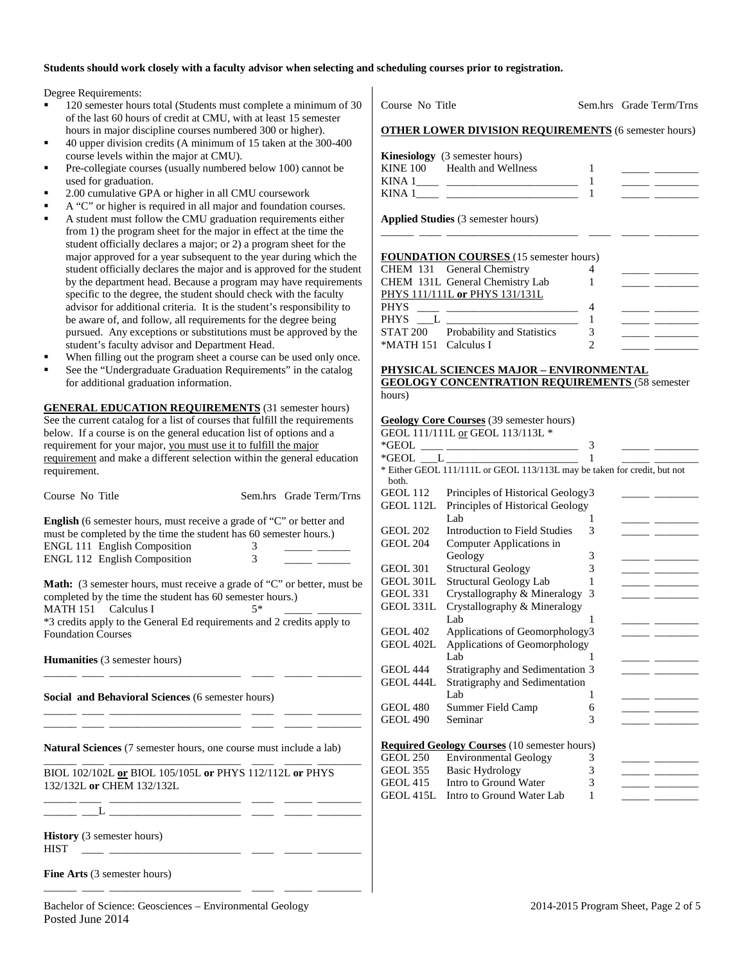#### **Students should work closely with a faculty advisor when selecting and scheduling courses prior to registration.**

Degree Requirements:

- 120 semester hours total (Students must complete a minimum of 30 of the last 60 hours of credit at CMU, with at least 15 semester hours in major discipline courses numbered 300 or higher).
- 40 upper division credits (A minimum of 15 taken at the 300-400 course levels within the major at CMU).
- Pre-collegiate courses (usually numbered below 100) cannot be used for graduation.
- 2.00 cumulative GPA or higher in all CMU coursework
- A "C" or higher is required in all major and foundation courses. A student must follow the CMU graduation requirements either from 1) the program sheet for the major in effect at the time the student officially declares a major; or 2) a program sheet for the major approved for a year subsequent to the year during which the student officially declares the major and is approved for the student by the department head. Because a program may have requirements
- specific to the degree, the student should check with the faculty advisor for additional criteria. It is the student's responsibility to be aware of, and follow, all requirements for the degree being pursued. Any exceptions or substitutions must be approved by the student's faculty advisor and Department Head.
- When filling out the program sheet a course can be used only once.
- See the "Undergraduate Graduation Requirements" in the catalog for additional graduation information.

**GENERAL EDUCATION REQUIREMENTS** (31 semester hours) See the current catalog for a list of courses that fulfill the requirements below. If a course is on the general education list of options and a requirement for your major, you must use it to fulfill the major requirement and make a different selection within the general education requirement.

| Course No Title                                                                                                                                                                                                         |        | Sem.hrs Grade Term/Trns |
|-------------------------------------------------------------------------------------------------------------------------------------------------------------------------------------------------------------------------|--------|-------------------------|
| <b>English</b> (6 semester hours, must receive a grade of "C" or better and<br>must be completed by the time the student has 60 semester hours.)<br><b>ENGL 111 English Composition</b><br>ENGL 112 English Composition | 3<br>3 |                         |
| <b>Math:</b> (3 semester hours, must receive a grade of "C" or better, must be<br>completed by the time the student has 60 semester hours.)<br>MATH 151 Calculus I                                                      | $5*$   |                         |
| *3 credits apply to the General Ed requirements and 2 credits apply to<br><b>Foundation Courses</b>                                                                                                                     |        |                         |
| <b>Humanities</b> (3 semester hours)                                                                                                                                                                                    |        |                         |
| Social and Behavioral Sciences (6 semester hours)                                                                                                                                                                       |        |                         |
| <b>Natural Sciences</b> (7 semester hours, one course must include a lab)                                                                                                                                               |        |                         |
| BIOL 102/102L or BIOL 105/105L or PHYS 112/112L or PHYS<br>132/132L or CHEM 132/132L                                                                                                                                    |        |                         |
|                                                                                                                                                                                                                         |        |                         |
| <b>History</b> (3 semester hours)<br><b>HIST</b>                                                                                                                                                                        |        |                         |

**Fine Arts** (3 semester hours)

\_\_\_\_\_\_ \_\_\_\_ \_\_\_\_\_\_\_\_\_\_\_\_\_\_\_\_\_\_\_\_\_\_\_\_ \_\_\_\_ \_\_\_\_\_ \_\_\_\_\_\_\_\_

| Course No Title                                             |   | Sem.hrs Grade Term/Trns                                                                                                                                                                                                              |
|-------------------------------------------------------------|---|--------------------------------------------------------------------------------------------------------------------------------------------------------------------------------------------------------------------------------------|
| <b>OTHER LOWER DIVISION REQUIREMENTS</b> (6 semester hours) |   |                                                                                                                                                                                                                                      |
| <b>Kinesiology</b> (3 semester hours)                       |   |                                                                                                                                                                                                                                      |
| KINE 100 Health and Wellness                                | 1 | <u> Albanya (Albanya Albanya)</u>                                                                                                                                                                                                    |
|                                                             |   |                                                                                                                                                                                                                                      |
| KINA $1 \qquad \qquad 1 \qquad \qquad 1$                    |   | <u> Albany Albany (Albany Albany Albany Albany Albany Albany Albany Albany Albany Albany Albany Albany Albany Albany Albany Albany Albany Albany Albany Albany Albany Albany Albany Albany Albany Albany Albany Albany Albany Al</u> |
| Applied Studies (3 semester hours)                          |   |                                                                                                                                                                                                                                      |
|                                                             |   |                                                                                                                                                                                                                                      |
| <b>FOUNDATION COURSES</b> (15 semester hours)               |   |                                                                                                                                                                                                                                      |
| CHEM 131 General Chemistry                                  | 4 |                                                                                                                                                                                                                                      |
| CHEM 131L General Chemistry Lab 1                           |   |                                                                                                                                                                                                                                      |
| PHYS 111/111L or PHYS 131/131L                              |   |                                                                                                                                                                                                                                      |
|                                                             |   | <u> 1980 - Jan James James, politik eta provincia eta provincia eta provincia eta provincia eta provincia eta pr</u>                                                                                                                 |
| PHYS $L$ $L$ $2$ $1$                                        |   | <u> Den Bernard (Bernard Bernard Bernard)</u>                                                                                                                                                                                        |
| STAT 200 Probability and Statistics 3                       |   | <u> 1980 - Jan James James Barbara, martin d</u>                                                                                                                                                                                     |
| *MATH 151 Calculus I                                        | 2 |                                                                                                                                                                                                                                      |
| <u> PHYSICAL SCIENCES MAJOR – ENVIRONMENTAL</u>             |   |                                                                                                                                                                                                                                      |
| <b>GEOLOGY CONCENTRATION REQUIREMENTS (58 semester</b>      |   |                                                                                                                                                                                                                                      |
| hours)                                                      |   |                                                                                                                                                                                                                                      |
|                                                             |   |                                                                                                                                                                                                                                      |

#### **Geology Core Courses** (39 semester hours)

|                  | GEOL 111/111L or GEOL 113/113L *                                         |   |  |
|------------------|--------------------------------------------------------------------------|---|--|
| *GEOL *          |                                                                          | 3 |  |
|                  |                                                                          |   |  |
|                  | * Either GEOL 111/111L or GEOL 113/113L may be taken for credit, but not |   |  |
| both.            |                                                                          |   |  |
| <b>GEOL 112</b>  | Principles of Historical Geology3                                        |   |  |
| GEOL 112L        | Principles of Historical Geology                                         |   |  |
|                  | Lab                                                                      | 1 |  |
| <b>GEOL 202</b>  | Introduction to Field Studies                                            | 3 |  |
| <b>GEOL 204</b>  | Computer Applications in                                                 |   |  |
|                  | Geology                                                                  | 3 |  |
| <b>GEOL 301</b>  | <b>Structural Geology</b>                                                | 3 |  |
| <b>GEOL 301L</b> | <b>Structural Geology Lab</b>                                            | 1 |  |
| <b>GEOL 331</b>  | Crystallography & Mineralogy                                             | 3 |  |
| <b>GEOL 331L</b> | Crystallography & Mineralogy                                             |   |  |
|                  | Lab                                                                      | 1 |  |
| <b>GEOL 402</b>  | Applications of Geomorphology3                                           |   |  |
| GEOL 402L        | Applications of Geomorphology                                            |   |  |
|                  | Lab                                                                      |   |  |
| <b>GEOL 444</b>  | Stratigraphy and Sedimentation 3                                         |   |  |
| GEOL 444L        | Stratigraphy and Sedimentation                                           |   |  |
|                  | Lab                                                                      | 1 |  |
| <b>GEOL 480</b>  | Summer Field Camp                                                        | 6 |  |
| <b>GEOL 490</b>  | Seminar                                                                  | 3 |  |
|                  |                                                                          |   |  |
|                  | <b>Required Geology Courses</b> (10 semester hours)                      |   |  |
| <b>GEOL 250</b>  | <b>Environmental Geology</b>                                             | 3 |  |
| <b>GEOL 355</b>  | <b>Basic Hydrology</b>                                                   | 3 |  |
| <b>GEOL 415</b>  | Intro to Ground Water                                                    | 3 |  |
| GEOL 415L        | Intro to Ground Water Lab                                                | 1 |  |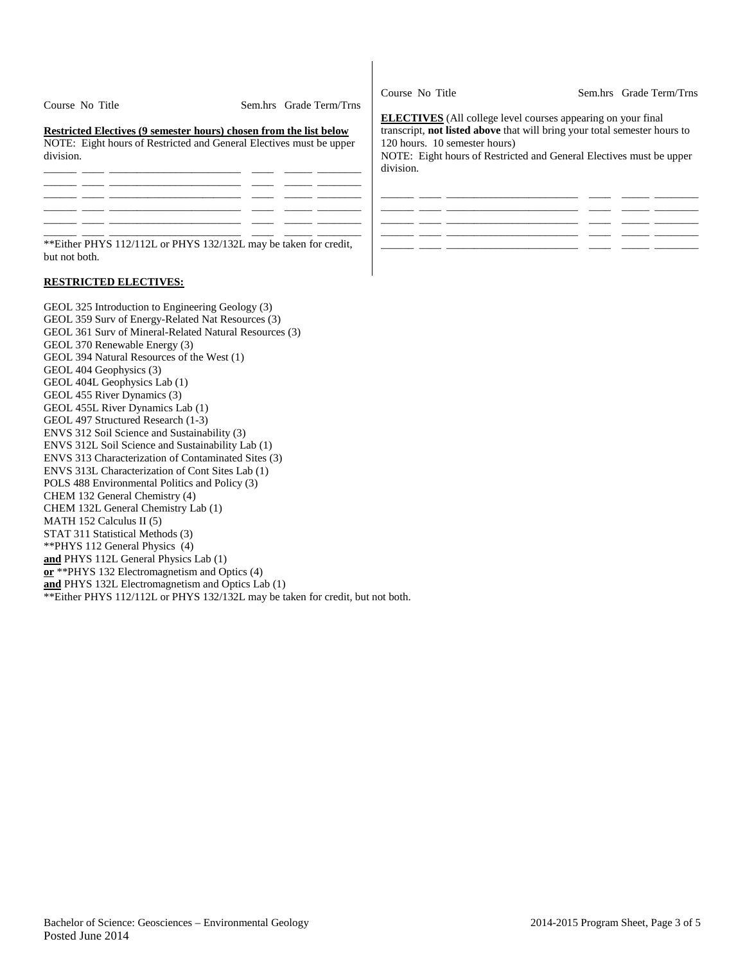| Course No Title | Sem.hrs Grade Term/Trns |
|-----------------|-------------------------|
|                 |                         |

**Restricted Electives (9 semester hours) chosen from the list below** NOTE: Eight hours of Restricted and General Electives must be upper

| division. |  |  |  |
|-----------|--|--|--|
|           |  |  |  |
|           |  |  |  |
|           |  |  |  |
|           |  |  |  |
|           |  |  |  |
|           |  |  |  |

\*\*Either PHYS 112/112L or PHYS 132/132L may be taken for credit, but not both.

### **RESTRICTED ELECTIVES:**

GEOL 325 Introduction to Engineering Geology (3) GEOL 359 Surv of Energy-Related Nat Resources (3) GEOL 361 Surv of Mineral-Related Natural Resources (3) GEOL 370 Renewable Energy (3) GEOL 394 Natural Resources of the West (1) GEOL 404 Geophysics (3) GEOL 404L Geophysics Lab (1) GEOL 455 River Dynamics (3) GEOL 455L River Dynamics Lab (1) GEOL 497 Structured Research (1-3) ENVS 312 Soil Science and Sustainability (3) ENVS 312L Soil Science and Sustainability Lab (1) ENVS 313 Characterization of Contaminated Sites (3) ENVS 313L Characterization of Cont Sites Lab (1) POLS 488 Environmental Politics and Policy (3) CHEM 132 General Chemistry (4) CHEM 132L General Chemistry Lab (1) MATH 152 Calculus II (5) STAT 311 Statistical Methods (3) \*\*PHYS 112 General Physics (4) **and** PHYS 112L General Physics Lab (1) **or** \*\*PHYS 132 Electromagnetism and Optics (4) **and** PHYS 132L Electromagnetism and Optics Lab (1) \*\*Either PHYS 112/112L or PHYS 132/132L may be taken for credit, but not both.

Course No Title Sem.hrs Grade Term/Trns

**ELECTIVES** (All college level courses appearing on your final transcript, **not listed above** that will bring your total semester hours to 120 hours. 10 semester hours)

NOTE: Eight hours of Restricted and General Electives must be upper division.

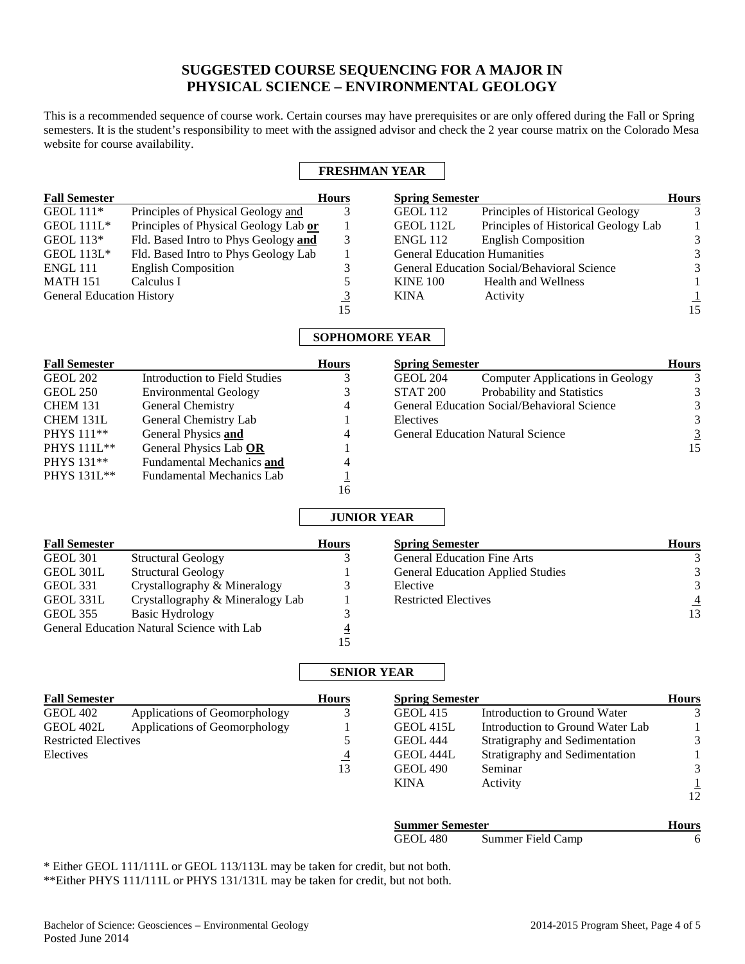# **SUGGESTED COURSE SEQUENCING FOR A MAJOR IN PHYSICAL SCIENCE – ENVIRONMENTAL GEOLOGY**

This is a recommended sequence of course work. Certain courses may have prerequisites or are only offered during the Fall or Spring semesters. It is the student's responsibility to meet with the assigned advisor and check the 2 year course matrix on the Colorado Mesa website for course availability.

### **FRESHMAN YEAR**

| <b>Fall Semester</b>             |                                       | <b>Hours</b>   | <b>Spring Semester</b> |                                             | <b>Hours</b> |
|----------------------------------|---------------------------------------|----------------|------------------------|---------------------------------------------|--------------|
| <b>GEOL</b> 111*                 | Principles of Physical Geology and    |                | GEOL 112               | Principles of Historical Geology            | 3            |
| GEOL $111L^*$                    | Principles of Physical Geology Lab or |                | GEOL 112L              | Principles of Historical Geology Lab        |              |
| GEOL 113*                        | Fld. Based Intro to Phys Geology and  | 3              | <b>ENGL 112</b>        | <b>English Composition</b>                  | 3            |
| <b>GEOL 113L*</b>                | Fld. Based Intro to Phys Geology Lab  |                |                        | <b>General Education Humanities</b>         | 3            |
| <b>ENGL 111</b>                  | <b>English Composition</b>            |                |                        | General Education Social/Behavioral Science | 3            |
| <b>MATH 151</b>                  | Calculus I                            |                | <b>KINE 100</b>        | <b>Health and Wellness</b>                  |              |
| <b>General Education History</b> |                                       | $\overline{3}$ | <b>KINA</b>            | Activity                                    |              |
|                                  |                                       | 15             |                        |                                             | 15           |

### **SOPHOMORE YEAR**

| <b>Spring Semester</b><br><b>Fall Semester</b><br><b>Hours</b> |                                  |    | <b>Hours</b>    |                                             |          |
|----------------------------------------------------------------|----------------------------------|----|-----------------|---------------------------------------------|----------|
| <b>GEOL 202</b>                                                | Introduction to Field Studies    |    | GEOL 204        | <b>Computer Applications in Geology</b>     | 3        |
| GEOL 250                                                       | <b>Environmental Geology</b>     |    | <b>STAT 200</b> | Probability and Statistics                  | 3        |
| <b>CHEM 131</b>                                                | General Chemistry                | 4  |                 | General Education Social/Behavioral Science | 3        |
| CHEM 131L                                                      | General Chemistry Lab            |    | Electives       |                                             | 3        |
| PHYS 111 <sup>**</sup>                                         | General Physics and              | 4  |                 | <b>General Education Natural Science</b>    | <u>3</u> |
| PHYS 111L**                                                    | General Physics Lab OR           |    |                 |                                             | 15       |
| PHYS 131**                                                     | <b>Fundamental Mechanics and</b> | 4  |                 |                                             |          |
| <b>PHYS</b> 131L**                                             | <b>Fundamental Mechanics Lab</b> |    |                 |                                             |          |
|                                                                |                                  | 16 |                 |                                             |          |

## **JUNIOR YEAR**

| <b>Fall Semester</b> |                                            | <b>Hours</b> | <b>Spring Semester</b>                   | <b>Hours</b> |
|----------------------|--------------------------------------------|--------------|------------------------------------------|--------------|
| GEOL 301             | <b>Structural Geology</b>                  |              | <b>General Education Fine Arts</b>       |              |
| GEOL 301L            | <b>Structural Geology</b>                  |              | <b>General Education Applied Studies</b> |              |
| <b>GEOL 331</b>      | Crystallography & Mineralogy               |              | Elective                                 | 3            |
| GEOL 331L            | Crystallography & Mineralogy Lab           |              | <b>Restricted Electives</b>              |              |
| <b>GEOL 355</b>      | Basic Hydrology                            |              |                                          | 13           |
|                      | General Education Natural Science with Lab | 4            |                                          |              |
|                      |                                            |              |                                          |              |

## **SENIOR YEAR**

| <b>Fall Semester</b>        |                               | <b>Hours</b>   | <b>Spring Semester</b> |                                  |              |
|-----------------------------|-------------------------------|----------------|------------------------|----------------------------------|--------------|
| <b>GEOL 402</b>             | Applications of Geomorphology | 3              | <b>GEOL 415</b>        | Introduction to Ground Water     |              |
| GEOL 402L                   | Applications of Geomorphology |                | GEOL 415L              | Introduction to Ground Water Lab |              |
| <b>Restricted Electives</b> |                               |                | <b>GEOL 444</b>        | Stratigraphy and Sedimentation   | 3            |
| Electives                   |                               | $\overline{4}$ | GEOL 444L              | Stratigraphy and Sedimentation   |              |
|                             |                               | 13             | <b>GEOL 490</b>        | Seminar                          |              |
|                             |                               |                | <b>KINA</b>            | Activity                         |              |
|                             |                               |                |                        |                                  | 12           |
|                             |                               |                | <b>Summer Semester</b> |                                  | <b>Hours</b> |
|                             |                               |                | <b>GEOL 480</b>        | Summer Field Camp                | 6            |
|                             |                               |                |                        |                                  |              |

\* Either GEOL 111/111L or GEOL 113/113L may be taken for credit, but not both. \*\*Either PHYS 111/111L or PHYS 131/131L may be taken for credit, but not both.